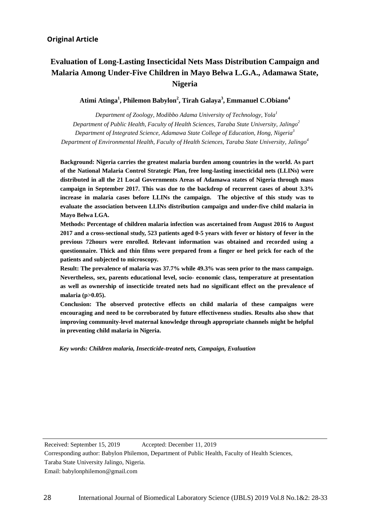# **Evaluation of Long-Lasting Insecticidal Nets Mass Distribution Campaign and Malaria Among Under-Five Children in Mayo Belwa L.G.A., Adamawa State, Nigeria**

**Atimi Atinga1 , Philemon Babylon2 , Tirah Galaya3 , Emmanuel C.Obiano<sup>4</sup>**

 *Department of Zoology, Modibbo Adama University of Technology, Yola<sup>1</sup> Department of Public Health, Faculty of Health Sciences, Taraba State University, Jalingo<sup>2</sup> Department of Integrated Science, Adamawa State College of Education, Hong, Nigeria<sup>3</sup>* Ī *Department of Environmental Health, Faculty of Health Sciences, Taraba State University, Jalingo<sup>4</sup>*

 **Background: Nigeria carries the greatest malaria burden among countries in the world. As part of the National Malaria Control Strategic Plan, free long-lasting insecticidal nets (LLINs) were distributed in all the 21 Local Governments Areas of Adamawa states of Nigeria through mass campaign in September 2017. This was due to the backdrop of recurrent cases of about 3.3% evaluate the association between LLINs distribution campaign and under-five child malaria in increase in malaria cases before LLINs the campaign. The objective of this study was to Mayo Belwa LGA.**

 **patients and subjected to microscopy. Methods: Percentage of children malaria infection was ascertained from August 2016 to August 2017 and a cross-sectional study, 523 patients aged 0-5 years with fever or history of fever in the questionnaire. Thick and thin films were prepared from a finger or heel prick for each of the previous 72hours were enrolled. Relevant information was obtained and recorded using a** 

 **Result: The prevalence of malaria was 37.7% while 49.3% was seen prior to the mass campaign. Nevertheless, sex, parents educational level, socio- economic class, temperature at presentation as well as ownership of insecticide treated nets had no significant effect on the prevalence of malaria (p>0.05).** 

 **Conclusion: The observed protective effects on child malaria of these campaigns were encouraging and need to be corroborated by future effectiveness studies. Results also show that improving community-level maternal knowledge through appropriate channels might be helpful in preventing child malaria in Nigeria.**

*Key words: Children malaria, Insecticide-treated nets, Campaign, Evaluation*

Received: September 15, 2019 Accepted: December 11, 2019 Accepted: December 11, 2019

 $\overline{a}$ 

 Taraba State University Jalingo, Nigeria. Corresponding author: Babylon Philemon, Department of Public Health, Faculty of Health Sciences,<br>Taraba State University Islinge, Nigeria

Email: babylonphilemon@gmail.com

 $\overline{a}$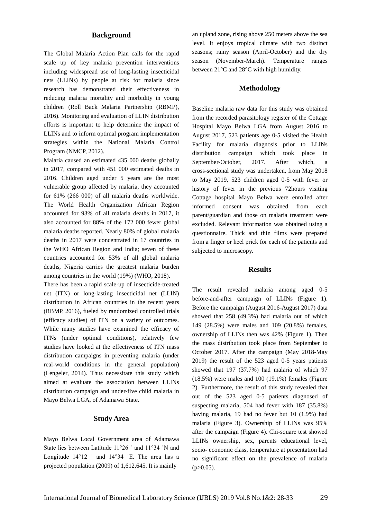#### **Background**

The Global Malaria Action Plan calls for the rapid scale up of key malaria prevention interventions including widespread use of long-lasting insecticidal nets (LLINs) by people at risk for malaria since research has demonstrated their effectiveness in reducing malaria mortality and morbidity in young children (Roll Back Malaria Partnership (RBMP), 2016). Monitoring and evaluation of LLIN distribution efforts is important to help determine the impact of LLINs and to inform optimal program implementation strategies within the National Malaria Control Program (NMCP, 2012).

Malaria caused an estimated 435 000 deaths globally in 2017, compared with 451 000 estimated deaths in 2016. Children aged under 5 years are the most vulnerable group affected by malaria, they accounted for 61% (266 000) of all malaria deaths worldwide. The World Health Organization African Region accounted for 93% of all malaria deaths in 2017, it also accounted for 88% of the 172 000 fewer global malaria deaths reported. Nearly 80% of global malaria deaths in 2017 were concentrated in 17 countries in the WHO African Region and India; seven of these countries accounted for 53% of all global malaria deaths, Nigeria carries the greatest malaria burden among countries in the world (19%) (WHO, 2018).

There has been a rapid scale-up of insecticide-treated net (ITN) or long-lasting insecticidal net (LLIN) distribution in African countries in the recent years (RBMP, 2016), fueled by randomized controlled trials (efficacy studies) of ITN on a variety of outcomes. While many studies have examined the efficacy of ITNs (under optimal conditions), relatively few studies have looked at the effectiveness of ITN mass distribution campaigns in preventing malaria (under real-world conditions in the general population) (Lengeler, 2014). Thus necessitate this study which aimed at evaluate the association between LLINs distribution campaign and under-five child malaria in Mayo Belwa LGA, of Adamawa State.

#### **Study Area**

Mayo Belwa Local Government area of Adamawa State lies between Latitude 11°26 ˈ and 11°34 ˈN and Longitude 14°12 ' and 14°34 'E. The area has a projected population (2009) of 1,612,645. It is mainly

an upland zone, rising above 250 meters above the sea level. It enjoys tropical climate with two distinct seasons; rainy season (April-October) and the dry season (November-March). Temperature ranges between 21°C and 28°C with high humidity.

#### **Methodology**

Baseline malaria raw data for this study was obtained from the recorded parasitology register of the Cottage Hospital Mayo Belwa LGA from August 2016 to August 2017, 523 patients age 0-5 visited the Health Facility for malaria diagnosis prior to LLINs distribution campaign which took place in September-October, 2017. After which, a cross-sectional study was undertaken, from May 2018 to May 2019, 523 children aged 0-5 with fever or history of fever in the previous 72hours visiting Cottage hospital Mayo Belwa were enrolled after informed consent was obtained from each parent/guardian and those on malaria treatment were excluded. Relevant information was obtained using a questionnaire. Thick and thin films were prepared from a finger or heel prick for each of the patients and subjected to microscopy.

#### **Results**

The result revealed malaria among aged 0-5 before-and-after campaign of LLINs (Figure 1). Before the campaign (August 2016-August 2017) data showed that 258 (49.3%) had malaria out of which 149 (28.5%) were males and 109 (20.8%) females, ownership of LLINs then was 42% (Figure 1). Then the mass distribution took place from September to October 2017. After the campaign (May 2018-May 2019) the result of the 523 aged 0-5 years patients showed that 197 (37.7%) had malaria of which 97 (18.5%) were males and 100 (19.1%) females (Figure 2). Furthermore, the result of this study revealed that out of the 523 aged 0-5 patients diagnosed of suspecting malaria, 504 had fever with 187 (35.8%) having malaria, 19 had no fever but 10 (1.9%) had malaria (Figure 3). Ownership of LLINs was 95% after the campaign (Figure 4). Chi-square test showed LLINs ownership, sex, parents educational level, socio- economic class, temperature at presentation had no significant effect on the prevalence of malaria  $(p>0.05)$ .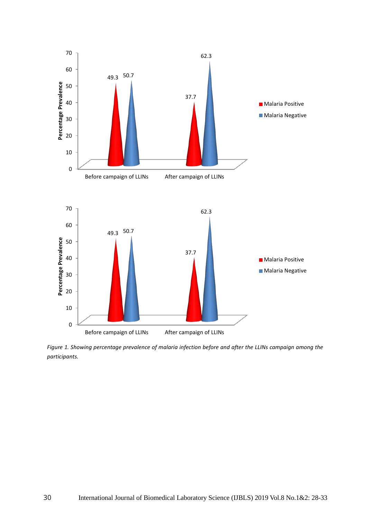

*Figure 1. Showing percentage prevalence of malaria infection before and after the LLINs campaign among the participants.*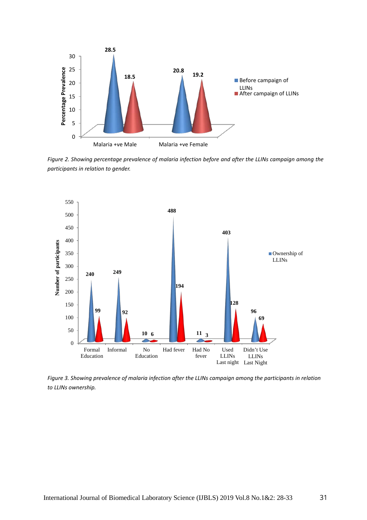

*Figure 2. Showing percentage prevalence of malaria infection before and after the LLINs campaign among the participants in relation to gender.*



*Figure 3. Showing prevalence of malaria infection after the LLINs campaign among the participants in relation to LLINs ownership.*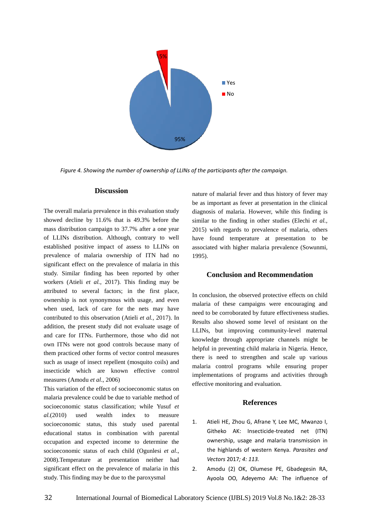

*Figure 4. Showing the number of ownership of LLINs of the participants after the campaign.*

#### **Discussion**

The overall malaria prevalence in this evaluation study showed decline by 11.6% that is 49.3% before the mass distribution campaign to 37.7% after a one year of LLINs distribution. Although, contrary to well established positive impact of assess to LLINs on prevalence of malaria ownership of ITN had no significant effect on the prevalence of malaria in this study. Similar finding has been reported by other workers (Atieli *et al.*, 2017). This finding may be attributed to several factors; in the first place, ownership is not synonymous with usage, and even when used, lack of care for the nets may have contributed to this observation (Atieli *et al.,* 2017). In addition, the present study did not evaluate usage of and care for ITNs. Furthermore, those who did not own ITNs were not good controls because many of them practiced other forms of vector control measures such as usage of insect repellent (mosquito coils) and insecticide which are known effective control measures (Amodu *et al*., 2006)

This variation of the effect of socioeconomic status on malaria prevalence could be due to variable method of socioeconomic status classification; while Yusuf *et al.*(2010) used wealth index to measure socioeconomic status, this study used parental educational status in combination with parental occupation and expected income to determine the socioeconomic status of each child (Ogunlesi *et al*., 2008).Temperature at presentation neither had significant effect on the prevalence of malaria in this study. This finding may be due to the paroxysmal

nature of malarial fever and thus history of fever may be as important as fever at presentation in the clinical diagnosis of malaria. However, while this finding is similar to the finding in other studies (Elechi *et al.,* 2015) with regards to prevalence of malaria, others have found temperature at presentation to be associated with higher malaria prevalence (Sowunmi, 1995).

## **Conclusion and Recommendation**

In conclusion, the observed protective effects on child malaria of these campaigns were encouraging and need to be corroborated by future effectiveness studies. Results also showed some level of resistant on the LLINs, but improving community-level maternal knowledge through appropriate channels might be helpful in preventing child malaria in Nigeria. Hence, there is need to strengthen and scale up various malaria control programs while ensuring proper implementations of programs and activities through effective monitoring and evaluation.

### **References**

- 1. Atieli HE, Zhou G, Afrane Y, Lee MC, Mwanzo I, Githeko AK: Insecticide-treated net (ITN) ownership, usage and malaria transmission in the highlands of western Kenya. *Parasites and Vectors* 2017*; 4: 113.*
- 2. Amodu (2) OK, Olumese PE, Gbadegesin RA, Ayoola OO, Adeyemo AA: The influence of